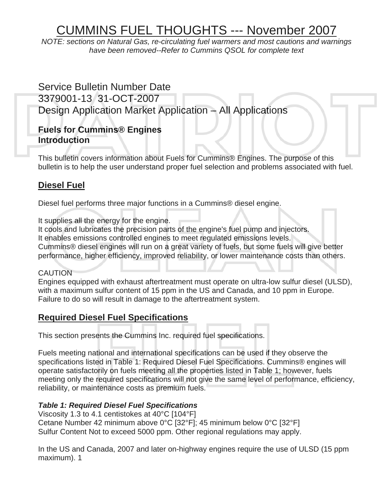# CUMMINS FUEL THOUGHTS --- November 2007

*NOTE: sections on Natural Gas, re-circulating fuel warmers and most cautions and warnings have been removed--Refer to Cummins QSOL for complete text* 

# Service Bulletin Number Date 3379001-13 31-OCT-2007 Design Application Market Application – All Applications

# **Fuels for Cummins® Engines Introduction**

This bulletin covers information about Fuels for Cummins® Engines. The purpose of this bulletin is to help the user understand proper fuel selection and problems associated with fuel.

# **Diesel Fuel**

Diesel fuel performs three major functions in a Cummins® diesel engine.

It supplies all the energy for the engine.

It cools and lubricates the precision parts of the engine's fuel pump and injectors. It enables emissions controlled engines to meet regulated emissions levels. Cummins® diesel engines will run on a great variety of fuels, but some fuels will give better performance, higher efficiency, improved reliability, or lower maintenance costs than others.

# CAUTION

Engines equipped with exhaust aftertreatment must operate on ultra-low sulfur diesel (ULSD), with a maximum sulfur content of 15 ppm in the US and Canada, and 10 ppm in Europe. Failure to do so will result in damage to the aftertreatment system.

# **Required Diesel Fuel Specifications**

This section presents the Cummins Inc. required fuel specifications.

Fuels meeting national and international specifications can be used if they observe the specifications listed in Table 1: Required Diesel Fuel Specifications. Cummins® engines will operate satisfactorily on fuels meeting all the properties listed in Table 1; however, fuels meeting only the required specifications will not give the same level of performance, efficiency, reliability, or maintenance costs as premium fuels.

# *Table 1: Required Diesel Fuel Specifications*

Viscosity 1.3 to 4.1 centistokes at 40°C [104°F] Cetane Number 42 minimum above 0°C [32°F]; 45 minimum below 0°C [32°F] Sulfur Content Not to exceed 5000 ppm. Other regional regulations may apply.

In the US and Canada, 2007 and later on-highway engines require the use of ULSD (15 ppm maximum). 1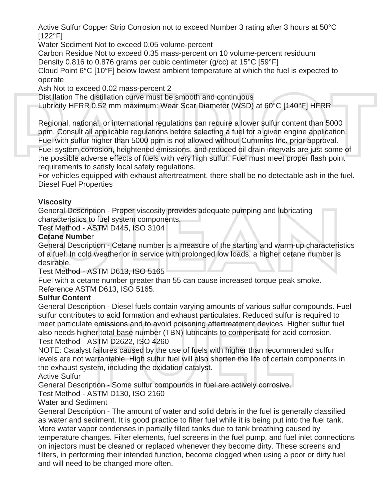Active Sulfur Copper Strip Corrosion not to exceed Number 3 rating after 3 hours at 50°C  $[122^{\circ}F]$ 

Water Sediment Not to exceed 0.05 volume-percent

Carbon Residue Not to exceed 0.35 mass-percent on 10 volume-percent residuum Density 0.816 to 0.876 grams per cubic centimeter (g/cc) at 15°C [59°F]

Cloud Point 6°C [10°F] below lowest ambient temperature at which the fuel is expected to operate

Ash Not to exceed 0.02 mass-percent 2

Distillation The distillation curve must be smooth and continuous

Lubricity HFRR 0.52 mm maximum: Wear Scar Diameter (WSD) at 60°C [140°F] HFRR

Regional, national, or international regulations can require a lower sulfur content than 5000 ppm. Consult all applicable regulations before selecting a fuel for a given engine application. Fuel with sulfur higher than 5000 ppm is not allowed without Cummins Inc. prior approval. Fuel system corrosion, heightened emissions, and reduced oil drain intervals are just some of the possible adverse effects of fuels with very high sulfur. Fuel must meet proper flash point requirements to satisfy local safety regulations.

For vehicles equipped with exhaust aftertreatment, there shall be no detectable ash in the fuel. Diesel Fuel Properties

# **Viscosity**

General Description - Proper viscosity provides adequate pumping and lubricating characteristics to fuel system components.

Test Method - ASTM D445, ISO 3104

# **Cetane Numbe**r

General Description - Cetane number is a measure of the starting and warm-up characteristics of a fuel. In cold weather or in service with prolonged low loads, a higher cetane number is desirable.

Test Method - ASTM D613, ISO 5165

Fuel with a cetane number greater than 55 can cause increased torque peak smoke. Reference ASTM D613, ISO 5165.

# **Sulfur Content**

General Description - Diesel fuels contain varying amounts of various sulfur compounds. Fuel sulfur contributes to acid formation and exhaust particulates. Reduced sulfur is required to meet particulate emissions and to avoid poisoning aftertreatment devices. Higher sulfur fuel also needs higher total base number (TBN) lubricants to compensate for acid corrosion. Test Method - ASTM D2622, ISO 4260

NOTE: Catalyst failures caused by the use of fuels with higher than recommended sulfur levels are not warrantable. High sulfur fuel will also shorten the life of certain components in the exhaust system, including the oxidation catalyst.

Active Sulfur

General Description - Some sulfur compounds in fuel are actively corrosive.

Test Method - ASTM D130, ISO 2160

Water and Sediment

General Description - The amount of water and solid debris in the fuel is generally classified as water and sediment. It is good practice to filter fuel while it is being put into the fuel tank. More water vapor condenses in partially filled tanks due to tank breathing caused by temperature changes. Filter elements, fuel screens in the fuel pump, and fuel inlet connections on injectors must be cleaned or replaced whenever they become dirty. These screens and filters, in performing their intended function, become clogged when using a poor or dirty fuel and will need to be changed more often.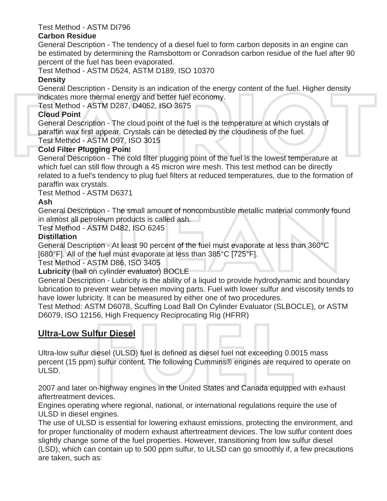### Test Method - ASTM DI796

#### **Carbon Residue**

General Description - The tendency of a diesel fuel to form carbon deposits in an engine can be estimated by determining the Ramsbottom or Conradson carbon residue of the fuel after 90 percent of the fuel has been evaporated.

Test Method - ASTM D524, ASTM D189, ISO 10370

# **Density**

General Description - Density is an indication of the energy content of the fuel. Higher density indicates more thermal energy and better fuel economy.

Test Method - ASTM D287, D4052, ISO 3675

# **Cloud Point**

General Description - The cloud point of the fuel is the temperature at which crystals of paraffin wax first appear. Crystals can be detected by the cloudiness of the fuel. Test Method - ASTM D97, ISO 3015

# **Cold Filter Plugging Poin**t

General Description - The cold filter plugging point of the fuel is the lowest temperature at which fuel can still flow through a 45 micron wire mesh. This test method can be directly related to a fuel's tendency to plug fuel filters at reduced temperatures, due to the formation of paraffin wax crystals.

Test Method - ASTM D6371

# **Ash**

General Description - The small amount of noncombustible metallic material commonly found in almost all petroleum products is called ash.

Test Method - ASTM D482, ISO 6245

# **Distillation**

General Description - At least 90 percent of the fuel must evaporate at less than 360°C [680°F]. All of the fuel must evaporate at less than 385°C [725°F].

Test Method - ASTM D86, ISO 3405

# **Lubricity** (ball on cylinder evaluator) BOCLE

General Description - Lubricity is the ability of a liquid to provide hydrodynamic and boundary lubrication to prevent wear between moving parts. Fuel with lower sulfur and viscosity tends to have lower lubricity. It can be measured by either one of two procedures.

Test Method: ASTM D6078, Scuffing Load Ball On Cylinder Evaluator (SLBOCLE), or ASTM D6079, ISO 12156, High Frequency Reciprocating Rig (HFRR)

# **Ultra-Low Sulfur Diesel**

Ultra-low sulfur diesel (ULSD) fuel is defined as diesel fuel not exceeding 0.0015 mass percent (15 ppm) sulfur content. The following Cummins® engines are required to operate on ULSD.

2007 and later on-highway engines in the United States and Canada equipped with exhaust aftertreatment devices.

Engines operating where regional, national, or international regulations require the use of ULSD in diesel engines.

The use of ULSD is essential for lowering exhaust emissions, protecting the environment, and for proper functionality of modern exhaust aftertreatment devices. The low sulfur content does slightly change some of the fuel properties. However, transitioning from low sulfur diesel (LSD), which can contain up to 500 ppm sulfur, to ULSD can go smoothly if, a few precautions are taken, such as: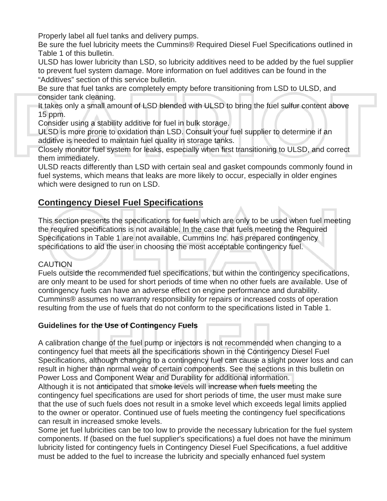Properly label all fuel tanks and delivery pumps.

Be sure the fuel lubricity meets the Cummins® Required Diesel Fuel Specifications outlined in Table 1 of this bulletin.

ULSD has lower lubricity than LSD, so lubricity additives need to be added by the fuel supplier to prevent fuel system damage. More information on fuel additives can be found in the "Additives" section of this service bulletin.

Be sure that fuel tanks are completely empty before transitioning from LSD to ULSD, and consider tank cleaning.

It takes only a small amount of LSD blended with ULSD to bring the fuel sulfur content above 15 ppm.

Consider using a stability additive for fuel in bulk storage.

ULSD is more prone to oxidation than LSD. Consult your fuel supplier to determine if an additive is needed to maintain fuel quality in storage tanks.

Closely monitor fuel system for leaks, especially when first transitioning to ULSD, and correct them immediately.

ULSD reacts differently than LSD with certain seal and gasket compounds commonly found in fuel systems, which means that leaks are more likely to occur, especially in older engines which were designed to run on LSD.

# **Contingency Diesel Fuel Specifications**

This section presents the specifications for fuels which are only to be used when fuel meeting the required specifications is not available. In the case that fuels meeting the Required Specifications in Table 1 are not available, Cummins Inc. has prepared contingency specifications to aid the user in choosing the most acceptable contingency fuel.

# **CAUTION**

Fuels outside the recommended fuel specifications, but within the contingency specifications, are only meant to be used for short periods of time when no other fuels are available. Use of contingency fuels can have an adverse effect on engine performance and durability. Cummins® assumes no warranty responsibility for repairs or increased costs of operation resulting from the use of fuels that do not conform to the specifications listed in Table 1.

# **Guidelines for the Use of Contingency Fuels**

A calibration change of the fuel pump or injectors is not recommended when changing to a contingency fuel that meets all the specifications shown in the Contingency Diesel Fuel Specifications, although changing to a contingency fuel can cause a slight power loss and can result in higher than normal wear of certain components. See the sections in this bulletin on Power Loss and Component Wear and Durability for additional information.

Although it is not anticipated that smoke levels will increase when fuels meeting the contingency fuel specifications are used for short periods of time, the user must make sure that the use of such fuels does not result in a smoke level which exceeds legal limits applied to the owner or operator. Continued use of fuels meeting the contingency fuel specifications can result in increased smoke levels.

Some jet fuel lubricities can be too low to provide the necessary lubrication for the fuel system components. If (based on the fuel supplier's specifications) a fuel does not have the minimum lubricity listed for contingency fuels in Contingency Diesel Fuel Specifications, a fuel additive must be added to the fuel to increase the lubricity and specially enhanced fuel system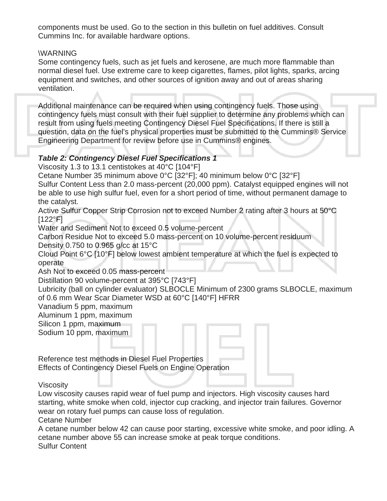components must be used. Go to the section in this bulletin on fuel additives. Consult Cummins Inc. for available hardware options.

# \WARNING

Some contingency fuels, such as jet fuels and kerosene, are much more flammable than normal diesel fuel. Use extreme care to keep cigarettes, flames, pilot lights, sparks, arcing equipment and switches, and other sources of ignition away and out of areas sharing ventilation.

Additional maintenance can be required when using contingency fuels. Those using contingency fuels must consult with their fuel supplier to determine any problems which can result from using fuels meeting Contingency Diesel Fuel Specifications. If there is still a question, data on the fuel's physical properties must be submitted to the Cummins® Service Engineering Department for review before use in Cummins® engines.

# *Table 2: Contingency Diesel Fuel Specifications 1*

Viscosity 1.3 to 13.1 centistokes at 40°C [104°F]

Cetane Number 35 minimum above 0°C [32°F]; 40 minimum below 0°C [32°F]

Sulfur Content Less than 2.0 mass-percent (20,000 ppm). Catalyst equipped engines will not be able to use high sulfur fuel, even for a short period of time, without permanent damage to the catalyst.

Active Sulfur Copper Strip Corrosion not to exceed Number 2 rating after 3 hours at 50°C  $[122^{\circ}F]$ 

Water and Sediment Not to exceed 0.5 volume-percent

Carbon Residue Not to exceed 5.0 mass-percent on 10 volume-percent residuum Density 0.750 to 0.965 g/cc at 15°C

Cloud Point 6°C [10°F] below lowest ambient temperature at which the fuel is expected to operate

Ash Not to exceed 0.05 mass-percent

Distillation 90 volume-percent at 395°C [743°F]

Lubricity (ball on cylinder evaluator) SLBOCLE Minimum of 2300 grams SLBOCLE, maximum of 0.6 mm Wear Scar Diameter WSD at 60°C [140°F] HFRR

Vanadium 5 ppm, maximum

Aluminum 1 ppm, maximum

Silicon 1 ppm, maximum

Sodium 10 ppm, maximum

Reference test methods in Diesel Fuel Properties Effects of Contingency Diesel Fuels on Engine Operation

Viscosity

Low viscosity causes rapid wear of fuel pump and injectors. High viscosity causes hard starting, white smoke when cold, injector cup cracking, and injector train failures. Governor wear on rotary fuel pumps can cause loss of regulation.

Cetane Number

A cetane number below 42 can cause poor starting, excessive white smoke, and poor idling. A cetane number above 55 can increase smoke at peak torque conditions. Sulfur Content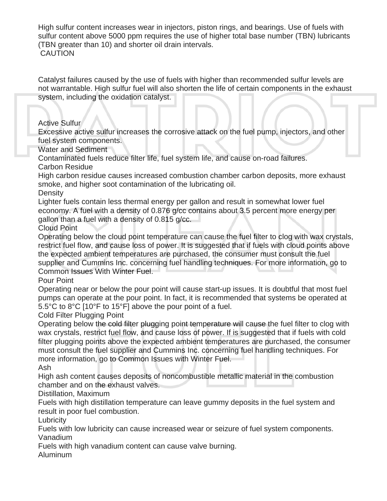High sulfur content increases wear in injectors, piston rings, and bearings. Use of fuels with sulfur content above 5000 ppm requires the use of higher total base number (TBN) lubricants (TBN greater than 10) and shorter oil drain intervals. **CAUTION** 

Catalyst failures caused by the use of fuels with higher than recommended sulfur levels are not warrantable. High sulfur fuel will also shorten the life of certain components in the exhaust system, including the oxidation catalyst.

Active Sulfur

Excessive active sulfur increases the corrosive attack on the fuel pump, injectors, and other fuel system components.

Water and Sediment

Contaminated fuels reduce filter life, fuel system life, and cause on-road failures. Carbon Residue

High carbon residue causes increased combustion chamber carbon deposits, more exhaust smoke, and higher soot contamination of the lubricating oil.

**Density** 

Lighter fuels contain less thermal energy per gallon and result in somewhat lower fuel economy. A fuel with a density of 0.876 g/cc contains about 3.5 percent more energy per gallon than a fuel with a density of 0.815 g/cc.

Cloud Point

Operating below the cloud point temperature can cause the fuel filter to clog with wax crystals, restrict fuel flow, and cause loss of power. It is suggested that if fuels with cloud points above the expected ambient temperatures are purchased, the consumer must consult the fuel supplier and Cummins Inc. concerning fuel handling techniques. For more information, go to Common Issues With Winter Fuel.

Pour Point

Operating near or below the pour point will cause start-up issues. It is doubtful that most fuel pumps can operate at the pour point. In fact, it is recommended that systems be operated at 5.5°C to 8°C [10°F to 15°F] above the pour point of a fuel.

Cold Filter Plugging Point

Operating below the cold filter plugging point temperature will cause the fuel filter to clog with wax crystals, restrict fuel flow, and cause loss of power. If is suggested that if fuels with cold filter plugging points above the expected ambient temperatures are purchased, the consumer must consult the fuel supplier and Cummins Inc. concerning fuel handling techniques. For more information, go to Common Issues with Winter Fuel.

Ash

High ash content causes deposits of noncombustible metallic material in the combustion chamber and on the exhaust valves.

Distillation, Maximum

Fuels with high distillation temperature can leave gummy deposits in the fuel system and result in poor fuel combustion.

**Lubricity** 

Fuels with low lubricity can cause increased wear or seizure of fuel system components. Vanadium

Fuels with high vanadium content can cause valve burning.

Aluminum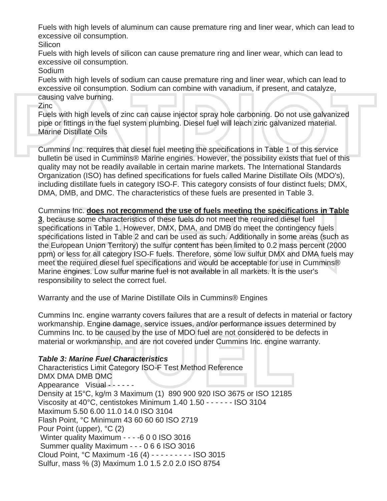Fuels with high levels of aluminum can cause premature ring and liner wear, which can lead to excessive oil consumption.

**Silicon** 

Fuels with high levels of silicon can cause premature ring and liner wear, which can lead to excessive oil consumption.

Sodium

Fuels with high levels of sodium can cause premature ring and liner wear, which can lead to excessive oil consumption. Sodium can combine with vanadium, if present, and catalyze, causing valve burning.

#### Zinc

Fuels with high levels of zinc can cause injector spray hole carboning. Do not use galvanized pipe or fittings in the fuel system plumbing. Diesel fuel will leach zinc galvanized material. Marine Distillate Oils

Cummins Inc. requires that diesel fuel meeting the specifications in Table 1 of this service bulletin be used in Cummins® Marine engines. However, the possibility exists that fuel of this quality may not be readily available in certain marine markets. The International Standards Organization (ISO) has defined specifications for fuels called Marine Distillate Oils (MDO's), including distillate fuels in category ISO-F. This category consists of four distinct fuels; DMX, DMA, DMB, and DMC. The characteristics of these fuels are presented in Table 3.

Cummins Inc. **does not recommend the use of fuels meeting the specifications in Table** 

**3**, because some characteristics of these fuels do not meet the required diesel fuel specifications in Table 1. However, DMX, DMA, and DMB do meet the contingency fuels specifications listed in Table 2 and can be used as such. Additionally in some areas (such as the European Union Territory) the sulfur content has been limited to 0.2 mass percent (2000 ppm) or less for all category ISO-F fuels. Therefore, some low sulfur DMX and DMA fuels may meet the required diesel fuel specifications and would be acceptable for use in Cummins® Marine engines. Low sulfur marine fuel is not available in all markets. It is the user's responsibility to select the correct fuel.

Warranty and the use of Marine Distillate Oils in Cummins® Engines

Cummins Inc. engine warranty covers failures that are a result of defects in material or factory workmanship. Engine damage, service issues, and/or performance issues determined by Cummins Inc. to be caused by the use of MDO fuel are not considered to be defects in material or workmanship, and are not covered under Cummins Inc. engine warranty.

# *Table 3: Marine Fuel Characteristics*

Characteristics Limit Category ISO-F Test Method Reference DMX DMA DMB DMC Appearance Visual - - - - - - Density at 15°C, kg/m 3 Maximum (1) 890 900 920 ISO 3675 or ISO 12185 Viscosity at 40°C, centistokes Minimum 1.40 1.50 - - - - - - ISO 3104 Maximum 5.50 6.00 11.0 14.0 ISO 3104 Flash Point, °C Minimum 43 60 60 60 ISO 2719 Pour Point (upper), °C (2) Winter quality Maximum - - - -6 0 0 ISO 3016 Summer quality Maximum - - - 0 6 6 ISO 3016 Cloud Point, °C Maximum -16 (4) - - - - - - - - - ISO 3015 Sulfur, mass % (3) Maximum 1.0 1.5 2.0 2.0 ISO 8754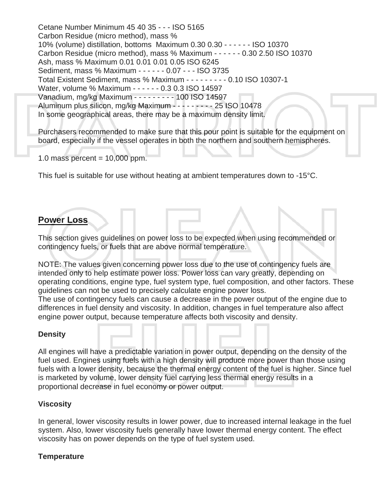Cetane Number Minimum 45 40 35 - - - ISO 5165 Carbon Residue (micro method), mass % 10% (volume) distillation, bottoms Maximum 0.30 0.30 - - - - - - ISO 10370 Carbon Residue (micro method), mass % Maximum - - - - - - 0.30 2.50 ISO 10370 Ash, mass % Maximum 0.01 0.01 0.01 0.05 ISO 6245 Sediment, mass % Maximum - - - - - - 0.07 - - - ISO 3735 Total Existent Sediment, mass % Maximum - - - - - - - - - 0.10 ISO 10307-1 Water, volume % Maximum - - - - - - 0.3 0.3 ISO 14597 Vanadium, mg/kg Maximum - - - - - - - - - 100 ISO 14597 Aluminum plus silicon, mg/kg Maximum - - - - - - - - - 25 ISO 10478 In some geographical areas, there may be a maximum density limit.

Purchasers recommended to make sure that this pour point is suitable for the equipment on board, especially if the vessel operates in both the northern and southern hemispheres.

1.0 mass percent  $= 10,000$  ppm.

This fuel is suitable for use without heating at ambient temperatures down to -15°C.

# **Power Loss**

This section gives guidelines on power loss to be expected when using recommended or contingency fuels, or fuels that are above normal temperature.

NOTE: The values given concerning power loss due to the use of contingency fuels are intended only to help estimate power loss. Power loss can vary greatly, depending on operating conditions, engine type, fuel system type, fuel composition, and other factors. These guidelines can not be used to precisely calculate engine power loss.

The use of contingency fuels can cause a decrease in the power output of the engine due to differences in fuel density and viscosity. In addition, changes in fuel temperature also affect engine power output, because temperature affects both viscosity and density.

#### **Density**

All engines will have a predictable variation in power output, depending on the density of the fuel used. Engines using fuels with a high density will produce more power than those using fuels with a lower density, because the thermal energy content of the fuel is higher. Since fuel is marketed by volume, lower density fuel carrying less thermal energy results in a proportional decrease in fuel economy or power output.

# **Viscosity**

In general, lower viscosity results in lower power, due to increased internal leakage in the fuel system. Also, lower viscosity fuels generally have lower thermal energy content. The effect viscosity has on power depends on the type of fuel system used.

#### **Temperature**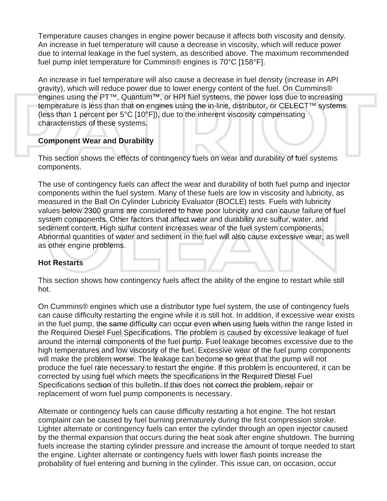Temperature causes changes in engine power because it affects both viscosity and density. An increase in fuel temperature will cause a decrease in viscosity, which will reduce power due to internal leakage in the fuel system, as described above. The maximum recommended fuel pump inlet temperature for Cummins® engines is 70°C [158°F].

An increase in fuel temperature will also cause a decrease in fuel density (increase in API gravity), which will reduce power due to lower energy content of the fuel. On Cummins® engines using the PT™, Quantum™, or HPI fuel systems, the power loss due to increasing temperature is less than that on engines using the in-line, distributor, or CELECT™ systems (less than 1 percent per 5°C [10°F]), due to the inherent viscosity compensating characteristics of these systems.

#### **Component Wear and Durability**

This section shows the effects of contingency fuels on wear and durability of fuel systems components.

The use of contingency fuels can affect the wear and durability of both fuel pump and injector components within the fuel system. Many of these fuels are low in viscosity and lubricity, as measured in the Ball On Cylinder Lubricity Evaluator (BOCLE) tests. Fuels with lubricity values below 2300 grams are considered to have poor lubricity and can cause failure of fuel system components. Other factors that affect wear and durability are sulfur, water, and sediment content. High sulfur content increases wear of the fuel system components. Abnormal quantities of water and sediment in the fuel will also cause excessive wear, as well as other engine problems.

# **Hot Restarts**

This section shows how contingency fuels affect the ability of the engine to restart while still hot.

On Cummins® engines which use a distributor type fuel system, the use of contingency fuels can cause difficulty restarting the engine while it is still hot. In addition, if excessive wear exists in the fuel pump, the same difficulty can occur even when using fuels within the range listed in the Required Diesel Fuel Specifications. The problem is caused by excessive leakage of fuel around the internal components of the fuel pump. Fuel leakage becomes excessive due to the high temperatures and low viscosity of the fuel. Excessive wear of the fuel pump components will make the problem worse. The leakage can become so great that the pump will not produce the fuel rate necessary to restart the engine. If this problem is encountered, it can be corrected by using fuel which meets the specifications in the Required Diesel Fuel Specifications section of this bulletin. If this does not correct the problem, repair or replacement of worn fuel pump components is necessary.

Alternate or contingency fuels can cause difficulty restarting a hot engine. The hot restart complaint can be caused by fuel burning prematurely during the first compression stroke. Lighter alternate or contingency fuels can enter the cylinder through an open injector caused by the thermal expansion that occurs during the heat soak after engine shutdown. The burning fuels increase the starting cylinder pressure and increase the amount of torque needed to start the engine. Lighter alternate or contingency fuels with lower flash points increase the probability of fuel entering and burning in the cylinder. This issue can, on occasion, occur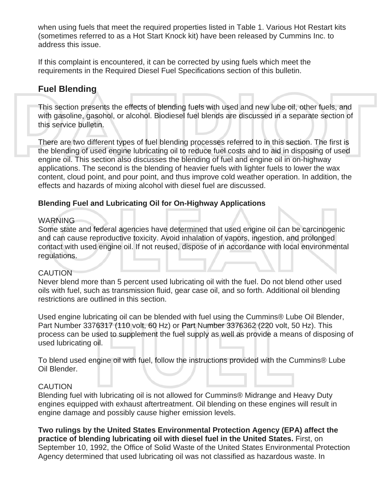when using fuels that meet the required properties listed in Table 1. Various Hot Restart kits (sometimes referred to as a Hot Start Knock kit) have been released by Cummins Inc. to address this issue.

If this complaint is encountered, it can be corrected by using fuels which meet the requirements in the Required Diesel Fuel Specifications section of this bulletin.

# **Fuel Blending**

This section presents the effects of blending fuels with used and new lube oil, other fuels, and with gasoline, gasohol, or alcohol. Biodiesel fuel blends are discussed in a separate section of this service bulletin.

There are two different types of fuel blending processes referred to in this section. The first is the blending of used engine lubricating oil to reduce fuel costs and to aid in disposing of used engine oil. This section also discusses the blending of fuel and engine oil in on-highway applications. The second is the blending of heavier fuels with lighter fuels to lower the wax content, cloud point, and pour point, and thus improve cold weather operation. In addition, the effects and hazards of mixing alcohol with diesel fuel are discussed.

#### **Blending Fuel and Lubricating Oil for On-Highway Applications**

#### **WARNING**

Some state and federal agencies have determined that used engine oil can be carcinogenic and can cause reproductive toxicity. Avoid inhalation of vapors, ingestion, and prolonged contact with used engine oil. If not reused, dispose of in accordance with local environmental regulations.

#### **CAUTION**

Never blend more than 5 percent used lubricating oil with the fuel. Do not blend other used oils with fuel, such as transmission fluid, gear case oil, and so forth. Additional oil blending restrictions are outlined in this section.

Used engine lubricating oil can be blended with fuel using the Cummins® Lube Oil Blender, Part Number 3376317 (110 volt, 60 Hz) or Part Number 3376362 (220 volt, 50 Hz). This process can be used to supplement the fuel supply as well as provide a means of disposing of used lubricating oil.

To blend used engine oil with fuel, follow the instructions provided with the Cummins® Lube Oil Blender.

#### **CAUTION**

Blending fuel with lubricating oil is not allowed for Cummins® Midrange and Heavy Duty engines equipped with exhaust aftertreatment. Oil blending on these engines will result in engine damage and possibly cause higher emission levels.

**Two rulings by the United States Environmental Protection Agency (EPA) affect the practice of blending lubricating oil with diesel fuel in the United States.** First, on September 10, 1992, the Office of Solid Waste of the United States Environmental Protection Agency determined that used lubricating oil was not classified as hazardous waste. In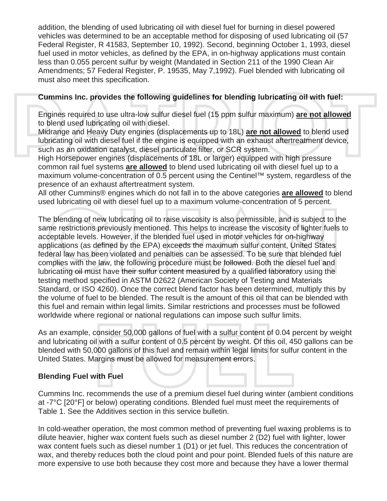addition, the blending of used lubricating oil with diesel fuel for burning in diesel powered vehicles was determined to be an acceptable method for disposing of used lubricating oil (57 Federal Register, R 41583, September 10, 1992). Second, beginning October 1, 1993, diesel fuel used in motor vehicles, as defined by the EPA, in on-highway applications must contain less than 0.055 percent sulfur by weight (Mandated in Section 211 of the 1990 Clean Air Amendments; 57 Federal Register, P. 19535, May 7,1992). Fuel blended with lubricating oil must also meet this specification.

# **Cummins Inc. provides the following guidelines for blending lubricating oil with fuel:**

Engines required to use ultra-low sulfur diesel fuel (15 ppm sulfur maximum) **are not allowed** to blend used lubricating oil with diesel.

Midrange and Heavy Duty engines (displacements up to 18L) **are not allowed** to blend used lubricating oil with diesel fuel if the engine is equipped with an exhaust aftertreatment device, such as an oxidation catalyst, diesel particulate filter, or SCR system.

High Horsepower engines (displacements of 18L or larger) equipped with high pressure common rail fuel systems **are allowed** to blend used lubricating oil with diesel fuel up to a maximum volume-concentration of 0.5 percent using the Centinel™ system, regardless of the presence of an exhaust aftertreatment system.

All other Cummins® engines which do not fall in to the above categories **are allowed** to blend used lubricating oil with diesel fuel up to a maximum volume-concentration of 5 percent.

The blending of new lubricating oil to raise viscosity is also permissible, and is subject to the same restrictions previously mentioned. This helps to increase the viscosity of lighter fuels to acceptable levels. However, if the blended fuel used in motor vehicles for on-highway applications (as defined by the EPA) exceeds the maximum sulfur content, United States federal law has been violated and penalties can be assessed. To be sure that blended fuel complies with the law, the following procedure must be followed. Both the diesel fuel and lubricating oil must have their sulfur content measured by a qualified laboratory using the testing method specified in ASTM D2622 (American Society of Testing and Materials Standard, or ISO 4260). Once the correct blend factor has been determined, multiply this by the volume of fuel to be blended. The result is the amount of this oil that can be blended with this fuel and remain within legal limits. Similar restrictions and processes must be followed worldwide where regional or national regulations can impose such sulfur limits.

As an example, consider 50,000 gallons of fuel with a sulfur content of 0.04 percent by weight and lubricating oil with a sulfur content of 0.5 percent by weight. Of this oil, 450 gallons can be blended with 50,000 gallons of this fuel and remain within legal limits for sulfur content in the United States. Margins must be allowed for measurement errors.

#### **Blending Fuel with Fuel**

Cummins Inc. recommends the use of a premium diesel fuel during winter (ambient conditions at -7°C [20°F] or below) operating conditions. Blended fuel must meet the requirements of Table 1. See the Additives section in this service bulletin.

In cold-weather operation, the most common method of preventing fuel waxing problems is to dilute heavier, higher wax content fuels such as diesel number 2 (D2) fuel with lighter, lower wax content fuels such as diesel number 1 (D1) or jet fuel. This reduces the concentration of wax, and thereby reduces both the cloud point and pour point. Blended fuels of this nature are more expensive to use both because they cost more and because they have a lower thermal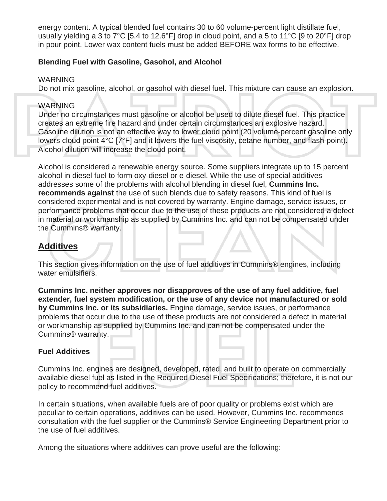energy content. A typical blended fuel contains 30 to 60 volume-percent light distillate fuel, usually yielding a 3 to 7°C [5.4 to 12.6°F] drop in cloud point, and a 5 to 11°C [9 to 20°F] drop in pour point. Lower wax content fuels must be added BEFORE wax forms to be effective.

### **Blending Fuel with Gasoline, Gasohol, and Alcohol**

#### WARNING

Do not mix gasoline, alcohol, or gasohol with diesel fuel. This mixture can cause an explosion.

#### WARNING

Under no circumstances must gasoline or alcohol be used to dilute diesel fuel. This practice creates an extreme fire hazard and under certain circumstances an explosive hazard. Gasoline dilution is not an effective way to lower cloud point (20 volume-percent gasoline only lowers cloud point 4°C [7°F] and it lowers the fuel viscosity, cetane number, and flash-point). Alcohol dilution will increase the cloud point.

Alcohol is considered a renewable energy source. Some suppliers integrate up to 15 percent alcohol in diesel fuel to form oxy-diesel or e-diesel. While the use of special additives addresses some of the problems with alcohol blending in diesel fuel, **Cummins Inc. recommends against** the use of such blends due to safety reasons. This kind of fuel is considered experimental and is not covered by warranty. Engine damage, service issues, or performance problems that occur due to the use of these products are not considered a defect in material or workmanship as supplied by Cummins Inc. and can not be compensated under the Cummins® warranty.

# **Additives**

This section gives information on the use of fuel additives in Cummins® engines, including water emulsifiers.

**Cummins Inc. neither approves nor disapproves of the use of any fuel additive, fuel extender, fuel system modification, or the use of any device not manufactured or sold by Cummins Inc. or its subsidiaries.** Engine damage, service issues, or performance problems that occur due to the use of these products are not considered a defect in material or workmanship as supplied by Cummins Inc. and can not be compensated under the Cummins® warranty.

# **Fuel Additives**

Cummins Inc. engines are designed, developed, rated, and built to operate on commercially available diesel fuel as listed in the Required Diesel Fuel Specifications; therefore, it is not our policy to recommend fuel additives.

In certain situations, when available fuels are of poor quality or problems exist which are peculiar to certain operations, additives can be used. However, Cummins Inc. recommends consultation with the fuel supplier or the Cummins® Service Engineering Department prior to the use of fuel additives.

Among the situations where additives can prove useful are the following: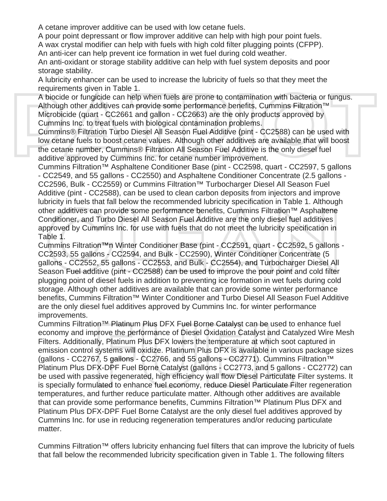A cetane improver additive can be used with low cetane fuels.

A pour point depressant or flow improver additive can help with high pour point fuels.

A wax crystal modifier can help with fuels with high cold filter plugging points (CFPP). An anti-icer can help prevent ice formation in wet fuel during cold weather.

An anti-oxidant or storage stability additive can help with fuel system deposits and poor storage stability.

A lubricity enhancer can be used to increase the lubricity of fuels so that they meet the requirements given in Table 1.

A biocide or fungicide can help when fuels are prone to contamination with bacteria or fungus. Although other additives can provide some performance benefits, Cummins Filtration™ Microbicide (quart - CC2661 and gallon - CC2663) are the only products approved by Cummins Inc. to treat fuels with biological contamination problems.

Cummins® Filtration Turbo Diesel All Season Fuel Additive (pint - CC2588) can be used with low cetane fuels to boost cetane values. Although other additives are available that will boost the cetane number, Cummins® Filtration All Season Fuel Additive is the only diesel fuel additive approved by Cummins Inc. for cetane number improvement.

Cummins Filtration™ Asphaltene Conditioner Base (pint - CC2598, quart - CC2597, 5 gallons - CC2549, and 55 gallons - CC2550) and Asphaltene Conditioner Concentrate (2.5 gallons - CC2596, Bulk - CC2559) or Cummins Filtration™ Turbocharger Diesel All Season Fuel Additive (pint - CC2588), can be used to clean carbon deposits from injectors and improve lubricity in fuels that fall below the recommended lubricity specification in Table 1. Although other additives can provide some performance benefits, Cummins Filtration™ Asphaltene Conditioner, and Turbo Diesel All Season Fuel Additive are the only diesel fuel additives approved by Cummins Inc. for use with fuels that do not meet the lubricity specification in Table 1.

Cummins Filtration™n Winter Conditioner Base (pint - CC2591, quart - CC2592, 5 gallons - CC2593, 55 gallons - CC2594, and Bulk - CC2590), Winter Conditioner Concentrate (5 gallons - CC2552, 55 gallons - CC2553, and Bulk - CC2554), and Turbocharger Diesel All Season Fuel additive (pint - CC2588) can be used to improve the pour point and cold filter plugging point of diesel fuels in addition to preventing ice formation in wet fuels during cold storage. Although other additives are available that can provide some winter performance benefits, Cummins Filtration™ Winter Conditioner and Turbo Diesel All Season Fuel Additive are the only diesel fuel additives approved by Cummins Inc. for winter performance improvements.

Cummins Filtration™ Platinum Plus DFX Fuel Borne Catalyst can be used to enhance fuel economy and improve the performance of Diesel Oxidation Catalyst and Catalyzed Wire Mesh Filters. Additionally, Platinum Plus DFX lowers the temperature at which soot captured in emission control systems will oxidize. Platinum Plus DFX is available in various package sizes (gallons - CC2767, 5 gallons - CC2766, and 55 gallons - CC2771). Cummins Filtration™ Platinum Plus DFX-DPF Fuel Borne Catalyst (gallons - CC2773, and 5 gallons - CC2772) can be used with passive regenerated, high efficiency wall flow Diesel Particulate Filter systems. It is specially formulated to enhance fuel economy, reduce Diesel Particulate Filter regeneration temperatures, and further reduce particulate matter. Although other additives are available that can provide some performance benefits, Cummins Filtration™ Platinum Plus DFX and Platinum Plus DFX-DPF Fuel Borne Catalyst are the only diesel fuel additives approved by Cummins Inc. for use in reducing regeneration temperatures and/or reducing particulate matter.

Cummins Filtration™ offers lubricity enhancing fuel filters that can improve the lubricity of fuels that fall below the recommended lubricity specification given in Table 1. The following filters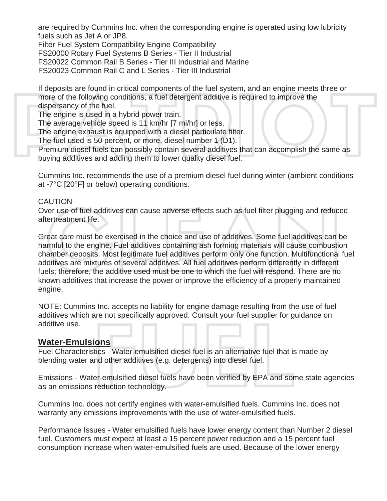are required by Cummins Inc. when the corresponding engine is operated using low lubricity fuels such as Jet A or JP8.

Filter Fuel System Compatibility Engine Compatibility

FS20000 Rotary Fuel Systems B Series - Tier II Industrial

FS20022 Common Rail B Series - Tier III Industrial and Marine

FS20023 Common Rail C and L Series - Tier III Industrial

If deposits are found in critical components of the fuel system, and an engine meets three or more of the following conditions, a fuel detergent additive is required to improve the dispersancy of the fuel.

The engine is used in a hybrid power train.

The average vehicle speed is 11 km/hr [7 mi/hr] or less.

The engine exhaust is equipped with a diesel particulate filter.

The fuel used is 50 percent, or more, diesel number 1 (D1).

Premium diesel fuels can possibly contain several additives that can accomplish the same as buying additives and adding them to lower quality diesel fuel.

Cummins Inc. recommends the use of a premium diesel fuel during winter (ambient conditions at -7°C [20°F] or below) operating conditions.

#### **CAUTION**

Over use of fuel additives can cause adverse effects such as fuel filter plugging and reduced aftertreatment life.

Great care must be exercised in the choice and use of additives. Some fuel additives can be harmful to the engine. Fuel additives containing ash forming materials will cause combustion chamber deposits. Most legitimate fuel additives perform only one function. Multifunctional fuel additives are mixtures of several additives. All fuel additives perform differently in different fuels; therefore, the additive used must be one to which the fuel will respond. There are no known additives that increase the power or improve the efficiency of a properly maintained engine.

NOTE: Cummins Inc. accepts no liability for engine damage resulting from the use of fuel additives which are not specifically approved. Consult your fuel supplier for guidance on additive use.

# **Water-Emulsions**

Fuel Characteristics - Water-emulsified diesel fuel is an alternative fuel that is made by blending water and other additives (e.g. detergents) into diesel fuel.

Emissions - Water-emulsified diesel fuels have been verified by EPA and some state agencies as an emissions reduction technology.

Cummins Inc. does not certify engines with water-emulsified fuels. Cummins Inc. does not warranty any emissions improvements with the use of water-emulsified fuels.

Performance Issues - Water emulsified fuels have lower energy content than Number 2 diesel fuel. Customers must expect at least a 15 percent power reduction and a 15 percent fuel consumption increase when water-emulsified fuels are used. Because of the lower energy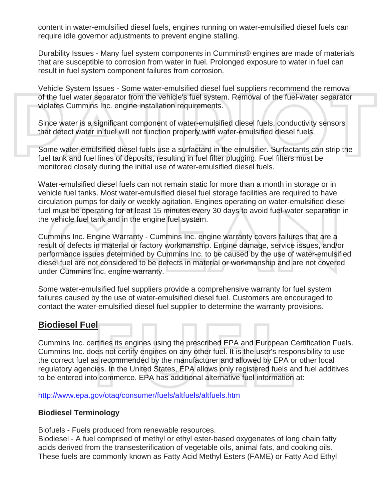content in water-emulsified diesel fuels, engines running on water-emulsified diesel fuels can require idle governor adjustments to prevent engine stalling.

Durability Issues - Many fuel system components in Cummins® engines are made of materials that are susceptible to corrosion from water in fuel. Prolonged exposure to water in fuel can result in fuel system component failures from corrosion.

Vehicle System Issues - Some water-emulsified diesel fuel suppliers recommend the removal of the fuel water separator from the vehicle's fuel system. Removal of the fuel-water separator violates Cummins Inc. engine installation requirements.

Since water is a significant component of water-emulsified diesel fuels, conductivity sensors that detect water in fuel will not function properly with water-emulsified diesel fuels.

Some water-emulsified diesel fuels use a surfactant in the emulsifier. Surfactants can strip the fuel tank and fuel lines of deposits, resulting in fuel filter plugging. Fuel filters must be monitored closely during the initial use of water-emulsified diesel fuels.

Water-emulsified diesel fuels can not remain static for more than a month in storage or in vehicle fuel tanks. Most water-emulsified diesel fuel storage facilities are required to have circulation pumps for daily or weekly agitation. Engines operating on water-emulsified diesel fuel must be operating for at least 15 minutes every 30 days to avoid fuel-water separation in the vehicle fuel tank and in the engine fuel system.

Cummins Inc. Engine Warranty - Cummins Inc. engine warranty covers failures that are a result of defects in material or factory workmanship. Engine damage, service issues, and/or performance issues determined by Cummins Inc. to be caused by the use of water-emulsified diesel fuel are not considered to be defects in material or workmanship and are not covered under Cummins Inc. engine warranty.

Some water-emulsified fuel suppliers provide a comprehensive warranty for fuel system failures caused by the use of water-emulsified diesel fuel. Customers are encouraged to contact the water-emulsified diesel fuel supplier to determine the warranty provisions.

# **Biodiesel Fuel**

Cummins Inc. certifies its engines using the prescribed EPA and European Certification Fuels. Cummins Inc. does not certify engines on any other fuel. It is the user's responsibility to use the correct fuel as recommended by the manufacturer and allowed by EPA or other local regulatory agencies. In the United States, EPA allows only registered fuels and fuel additives to be entered into commerce. EPA has additional alternative fuel information at:

<http://www.epa.gov/otaq/consumer/fuels/altfuels/altfuels.htm>

#### **Biodiesel Terminology**

Biofuels - Fuels produced from renewable resources.

Biodiesel - A fuel comprised of methyl or ethyl ester-based oxygenates of long chain fatty acids derived from the transesterification of vegetable oils, animal fats, and cooking oils. These fuels are commonly known as Fatty Acid Methyl Esters (FAME) or Fatty Acid Ethyl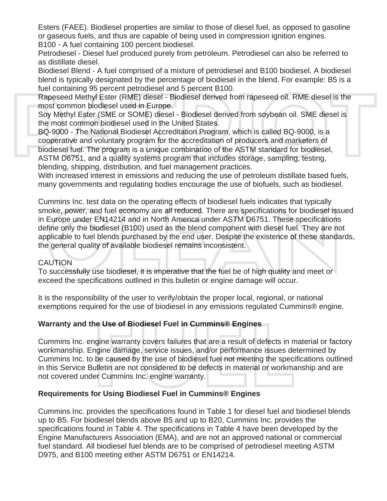Esters (FAEE). Biodiesel properties are similar to those of diesel fuel, as opposed to gasoline or gaseous fuels, and thus are capable of being used in compression ignition engines.

B100 - A fuel containing 100 percent biodiesel.

Petrodiesel - Diesel fuel produced purely from petroleum. Petrodiesel can also be referred to as distillate diesel.

Biodiesel Blend - A fuel comprised of a mixture of petrodiesel and B100 biodiesel. A biodiesel blend is typically designated by the percentage of biodiesel in the blend. For example: B5 is a fuel containing 95 percent petrodiesel and 5 percent B100.

Rapeseed Methyl Ester (RME) diesel - Biodiesel derived from rapeseed oil. RME diesel is the most common biodiesel used in Europe.

Soy Methyl Ester (SME or SOME) diesel - Biodiesel derived from soybean oil. SME diesel is the most common biodiesel used in the United States.

BQ-9000 - The National Biodiesel Accreditation Program, which is called BQ-9000, is a cooperative and voluntary program for the accreditation of producers and marketers of biodiesel fuel. The program is a unique combination of the ASTM standard for biodiesel, ASTM D6751, and a quality systems program that includes storage, sampling, testing, blending, shipping, distribution, and fuel management practices.

With increased interest in emissions and reducing the use of petroleum distillate based fuels, many governments and regulating bodies encourage the use of biofuels, such as biodiesel.

Cummins Inc. test data on the operating effects of biodiesel fuels indicates that typically smoke, power, and fuel economy are all reduced. There are specifications for biodiesel issued in Europe under EN14214 and in North America under ASTM D6751. These specifications define only the biodiesel (B100) used as the blend component with diesel fuel. They are not applicable to fuel blends purchased by the end user. Despite the existence of these standards, the general quality of available biodiesel remains inconsistent.

#### CAUTION

To successfully use biodiesel, it is imperative that the fuel be of high quality and meet or exceed the specifications outlined in this bulletin or engine damage will occur.

It is the responsibility of the user to verify/obtain the proper local, regional, or national exemptions required for the use of biodiesel in any emissions regulated Cummins® engine.

# **Warranty and the Use of Biodiesel Fuel in Cummins® Engines**

Cummins Inc. engine warranty covers failures that are a result of defects in material or factory workmanship. Engine damage, service issues, and/or performance issues determined by Cummins Inc. to be caused by the use of biodiesel fuel not meeting the specifications outlined in this Service Bulletin are not considered to be defects in material or workmanship and are not covered under Cummins Inc. engine warranty.

# **Requirements for Using Biodiesel Fuel in Cummins® Engines**

Cummins Inc. provides the specifications found in Table 1 for diesel fuel and biodiesel blends up to B5. For biodiesel blends above B5 and up to B20, Cummins Inc. provides the specifications found in Table 4. The specifications in Table 4 have been developed by the Engine Manufacturers Association (EMA), and are not an approved national or commercial fuel standard. All biodiesel fuel blends are to be comprised of petrodiesel meeting ASTM D975, and B100 meeting either ASTM D6751 or EN14214.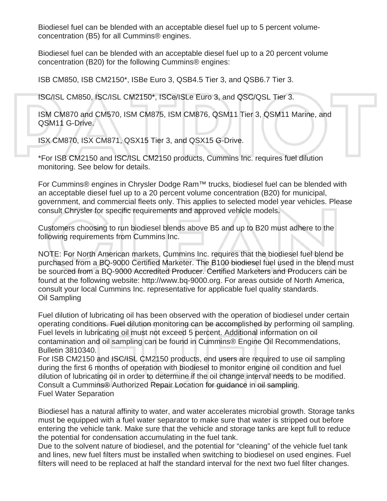Biodiesel fuel can be blended with an acceptable diesel fuel up to 5 percent volumeconcentration (B5) for all Cummins® engines.

Biodiesel fuel can be blended with an acceptable diesel fuel up to a 20 percent volume concentration (B20) for the following Cummins® engines:

ISB CM850, ISB CM2150\*, ISBe Euro 3, QSB4.5 Tier 3, and QSB6.7 Tier 3.

ISC/ISL CM850, ISC/ISL CM2150\*, ISCe/ISLe Euro 3, and QSC/QSL Tier 3.

ISM CM870 and CM570, ISM CM875, ISM CM876, QSM11 Tier 3, QSM11 Marine, and QSM11 G-Drive.

ISX CM870, ISX CM871, QSX15 Tier 3, and QSX15 G-Drive.

\*For ISB CM2150 and ISC/ISL CM2150 products, Cummins Inc. requires fuel dilution monitoring. See below for details.

For Cummins® engines in Chrysler Dodge Ram™ trucks, biodiesel fuel can be blended with an acceptable diesel fuel up to a 20 percent volume concentration (B20) for municipal, government, and commercial fleets only. This applies to selected model year vehicles. Please consult Chrysler for specific requirements and approved vehicle models.

Customers choosing to run biodiesel blends above B5 and up to B20 must adhere to the following requirements from Cummins Inc.

NOTE: For North American markets, Cummins Inc. requires that the biodiesel fuel blend be purchased from a BQ-9000 Certified Marketer. The B100 biodiesel fuel used in the blend must be sourced from a BQ-9000 Accredited Producer. Certified Marketers and Producers can be found at the following website: http://www.bq-9000.org. For areas outside of North America, consult your local Cummins Inc. representative for applicable fuel quality standards. Oil Sampling

Fuel dilution of lubricating oil has been observed with the operation of biodiesel under certain operating conditions. Fuel dilution monitoring can be accomplished by performing oil sampling. Fuel levels in lubricating oil must not exceed 5 percent. Additional information on oil contamination and oil sampling can be found in Cummins® Engine Oil Recommendations, Bulletin 3810340.

For ISB CM2150 and ISC/ISL CM2150 products, end users are required to use oil sampling during the first 6 months of operation with biodiesel to monitor engine oil condition and fuel dilution of lubricating oil in order to determine if the oil change interval needs to be modified. Consult a Cummins® Authorized Repair Location for guidance in oil sampling. Fuel Water Separation

Biodiesel has a natural affinity to water, and water accelerates microbial growth. Storage tanks must be equipped with a fuel water separator to make sure that water is stripped out before entering the vehicle tank. Make sure that the vehicle and storage tanks are kept full to reduce the potential for condensation accumulating in the fuel tank.

Due to the solvent nature of biodiesel, and the potential for "cleaning" of the vehicle fuel tank and lines, new fuel filters must be installed when switching to biodiesel on used engines. Fuel filters will need to be replaced at half the standard interval for the next two fuel filter changes.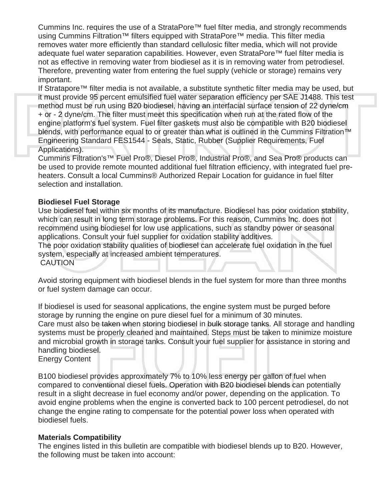Cummins Inc. requires the use of a StrataPore™ fuel filter media, and strongly recommends using Cummins Filtration™ filters equipped with StrataPore™ media. This filter media removes water more efficiently than standard cellulosic filter media, which will not provide adequate fuel water separation capabilities. However, even StrataPore™ fuel filter media is not as effective in removing water from biodiesel as it is in removing water from petrodiesel. Therefore, preventing water from entering the fuel supply (vehicle or storage) remains very important.

If Stratapore™ filter media is not available, a substitute synthetic filter media may be used, but it must provide 95 percent emulsified fuel water separation efficiency per SAE J1488. This test method must be run using B20 biodiesel, having an interfacial surface tension of 22 dyne/cm + or - 2 dyne/cm. The filter must meet this specification when run at the rated flow of the engine platform's fuel system. Fuel filter gaskets must also be compatible with B20 biodiesel blends, with performance equal to or greater than what is outlined in the Cummins Filtration<sup>™</sup> Engineering Standard FES1544 - Seals, Static, Rubber (Supplier Requirements, Fuel Applications).

Cummins Filtration's™ Fuel Pro®, Diesel Pro®, Industrial Pro®, and Sea Pro® products can be used to provide remote mounted additional fuel filtration efficiency, with integrated fuel preheaters. Consult a local Cummins® Authorized Repair Location for guidance in fuel filter selection and installation.

#### **Biodiesel Fuel Storage**

Use biodiesel fuel within six months of its manufacture. Biodiesel has poor oxidation stability, which can result in long term storage problems. For this reason, Cummins Inc. does not recommend using biodiesel for low use applications, such as standby power or seasonal applications. Consult your fuel supplier for oxidation stability additives.

The poor oxidation stability qualities of biodiesel can accelerate fuel oxidation in the fuel system, especially at increased ambient temperatures.

**CAUTION** 

Avoid storing equipment with biodiesel blends in the fuel system for more than three months or fuel system damage can occur.

If biodiesel is used for seasonal applications, the engine system must be purged before storage by running the engine on pure diesel fuel for a minimum of 30 minutes. Care must also be taken when storing biodiesel in bulk storage tanks. All storage and handling systems must be properly cleaned and maintained. Steps must be taken to minimize moisture and microbial growth in storage tanks. Consult your fuel supplier for assistance in storing and handling biodiesel.

Energy Content

B100 biodiesel provides approximately 7% to 10% less energy per gallon of fuel when compared to conventional diesel fuels. Operation with B20 biodiesel blends can potentially result in a slight decrease in fuel economy and/or power, depending on the application. To avoid engine problems when the engine is converted back to 100 percent petrodiesel, do not change the engine rating to compensate for the potential power loss when operated with biodiesel fuels.

# **Materials Compatibility**

The engines listed in this bulletin are compatible with biodiesel blends up to B20. However, the following must be taken into account: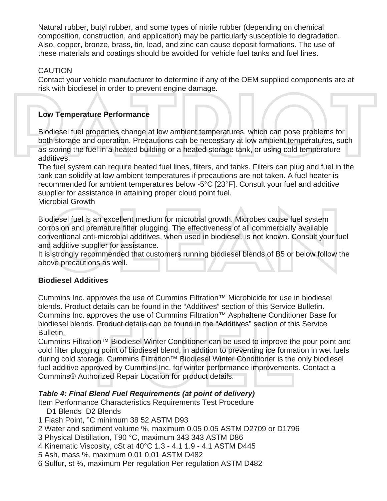Natural rubber, butyl rubber, and some types of nitrile rubber (depending on chemical composition, construction, and application) may be particularly susceptible to degradation. Also, copper, bronze, brass, tin, lead, and zinc can cause deposit formations. The use of these materials and coatings should be avoided for vehicle fuel tanks and fuel lines.

# CAUTION

Contact your vehicle manufacturer to determine if any of the OEM supplied components are at risk with biodiesel in order to prevent engine damage.

# **Low Temperature Performance**

Biodiesel fuel properties change at low ambient temperatures, which can pose problems for both storage and operation. Precautions can be necessary at low ambient temperatures, such as storing the fuel in a heated building or a heated storage tank, or using cold temperature additives.

The fuel system can require heated fuel lines, filters, and tanks. Filters can plug and fuel in the tank can solidify at low ambient temperatures if precautions are not taken. A fuel heater is recommended for ambient temperatures below -5°C [23°F]. Consult your fuel and additive supplier for assistance in attaining proper cloud point fuel. Microbial Growth

Biodiesel fuel is an excellent medium for microbial growth. Microbes cause fuel system corrosion and premature filter plugging. The effectiveness of all commercially available conventional anti-microbial additives, when used in biodiesel, is not known. Consult your fuel and additive supplier for assistance.

It is strongly recommended that customers running biodiesel blends of B5 or below follow the above precautions as well.

# **Biodiesel Additives**

Cummins Inc. approves the use of Cummins Filtration™ Microbicide for use in biodiesel blends. Product details can be found in the "Additives" section of this Service Bulletin. Cummins Inc. approves the use of Cummins Filtration™ Asphaltene Conditioner Base for biodiesel blends. Product details can be found in the "Additives" section of this Service Bulletin.

Cummins Filtration™ Biodiesel Winter Conditioner can be used to improve the pour point and cold filter plugging point of biodiesel blend, in addition to preventing ice formation in wet fuels during cold storage. Cummins Filtration™ Biodiesel Winter Conditioner is the only biodiesel fuel additive approved by Cummins Inc. for winter performance improvements. Contact a Cummins® Authorized Repair Location for product details.

# *Table 4: Final Blend Fuel Requirements (at point of delivery)*

Item Performance Characteristics Requirements Test Procedure

- D1 Blends D2 Blends
- 1 Flash Point, °C minimum 38 52 ASTM D93
- 2 Water and sediment volume %, maximum 0.05 0.05 ASTM D2709 or D1796
- 3 Physical Distillation, T90 °C, maximum 343 343 ASTM D86
- 4 Kinematic Viscosity, cSt at 40°C 1.3 4.1 1.9 4.1 ASTM D445
- 5 Ash, mass %, maximum 0.01 0.01 ASTM D482
- 6 Sulfur, st %, maximum Per regulation Per regulation ASTM D482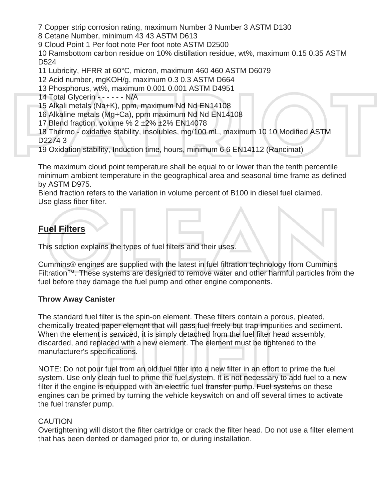7 Copper strip corrosion rating, maximum Number 3 Number 3 ASTM D130

8 Cetane Number, minimum 43 43 ASTM D613

9 Cloud Point 1 Per foot note Per foot note ASTM D2500

10 Ramsbottom carbon residue on 10% distillation residue, wt%, maximum 0.15 0.35 ASTM D524

11 Lubricity, HFRR at 60°C, micron, maximum 460 460 ASTM D6079

12 Acid number, mgKOH/g, maximum 0.3 0.3 ASTM D664

13 Phosphorus, wt%, maximum 0.001 0.001 ASTM D4951

14 Total Glycerin - - - - - - N/A

15 Alkali metals (Na+K), ppm, maximum Nd Nd EN14108

16 Alkaline metals (Mg+Ca), ppm maximum Nd Nd EN14108

17 Blend fraction, volume % 2 ±2% ±2% EN14078

18 Thermo - oxidative stability, insolubles, mg/100 mL, maximum 10 10 Modified ASTM D2274 3

19 Oxidation stability, Induction time, hours, minimum 6 6 EN14112 (Rancimat)

The maximum cloud point temperature shall be equal to or lower than the tenth percentile minimum ambient temperature in the geographical area and seasonal time frame as defined by ASTM D975.

Blend fraction refers to the variation in volume percent of B100 in diesel fuel claimed. Use glass fiber filter.

# **Fuel Filters**

This section explains the types of fuel filters and their uses.

Cummins® engines are supplied with the latest in fuel filtration technology from Cummins Filtration™. These systems are designed to remove water and other harmful particles from the fuel before they damage the fuel pump and other engine components.

# **Throw Away Canister**

The standard fuel filter is the spin-on element. These filters contain a porous, pleated, chemically treated paper element that will pass fuel freely but trap impurities and sediment. When the element is serviced, it is simply detached from the fuel filter head assembly, discarded, and replaced with a new element. The element must be tightened to the manufacturer's specifications.

NOTE: Do not pour fuel from an old fuel filter into a new filter in an effort to prime the fuel system. Use only clean fuel to prime the fuel system. It is not necessary to add fuel to a new filter if the engine is equipped with an electric fuel transfer pump. Fuel systems on these engines can be primed by turning the vehicle keyswitch on and off several times to activate the fuel transfer pump.

# CAUTION

Overtightening will distort the filter cartridge or crack the filter head. Do not use a filter element that has been dented or damaged prior to, or during installation.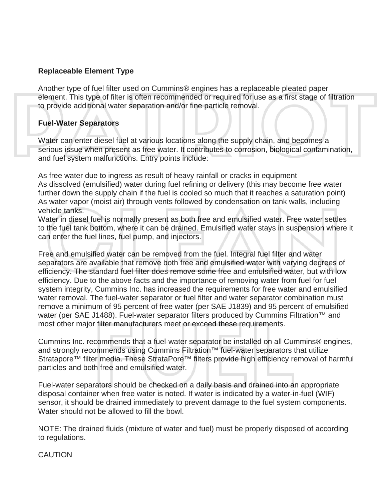#### **Replaceable Element Type**

Another type of fuel filter used on Cummins® engines has a replaceable pleated paper element. This type of filter is often recommended or required for use as a first stage of filtration to provide additional water separation and/or fine particle removal.

#### **Fuel-Water Separators**

Water can enter diesel fuel at various locations along the supply chain, and becomes a serious issue when present as free water. It contributes to corrosion, biological contamination, and fuel system malfunctions. Entry points include:

As free water due to ingress as result of heavy rainfall or cracks in equipment As dissolved (emulsified) water during fuel refining or delivery (this may become free water further down the supply chain if the fuel is cooled so much that it reaches a saturation point) As water vapor (moist air) through vents followed by condensation on tank walls, including vehicle tanks.

Water in diesel fuel is normally present as both free and emulsified water. Free water settles to the fuel tank bottom, where it can be drained. Emulsified water stays in suspension where it can enter the fuel lines, fuel pump, and injectors.

Free and emulsified water can be removed from the fuel. Integral fuel filter and water separators are available that remove both free and emulsified water with varying degrees of efficiency. The standard fuel filter does remove some free and emulsified water, but with low efficiency. Due to the above facts and the importance of removing water from fuel for fuel system integrity, Cummins Inc. has increased the requirements for free water and emulsified water removal. The fuel-water separator or fuel filter and water separator combination must remove a minimum of 95 percent of free water (per SAE J1839) and 95 percent of emulsified water (per SAE J1488). Fuel-water separator filters produced by Cummins Filtration<sup>™</sup> and most other major filter manufacturers meet or exceed these requirements.

Cummins Inc. recommends that a fuel-water separator be installed on all Cummins® engines, and strongly recommends using Cummins Filtration™ fuel-water separators that utilize Stratapore™ filter media. These StrataPore™ filters provide high efficiency removal of harmful particles and both free and emulsified water.

Fuel-water separators should be checked on a daily basis and drained into an appropriate disposal container when free water is noted. If water is indicated by a water-in-fuel (WIF) sensor, it should be drained immediately to prevent damage to the fuel system components. Water should not be allowed to fill the bowl.

NOTE: The drained fluids (mixture of water and fuel) must be properly disposed of according to regulations.

**CAUTION**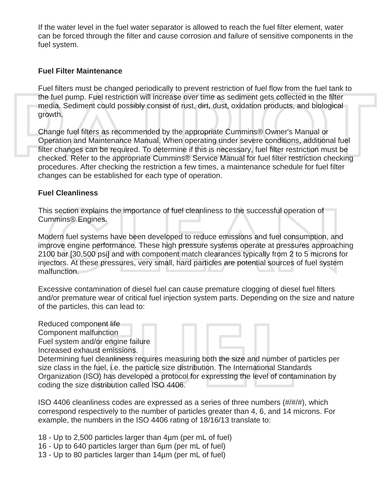If the water level in the fuel water separator is allowed to reach the fuel filter element, water can be forced through the filter and cause corrosion and failure of sensitive components in the fuel system.

#### **Fuel Filter Maintenance**

Fuel filters must be changed periodically to prevent restriction of fuel flow from the fuel tank to the fuel pump. Fuel restriction will increase over time as sediment gets collected in the filter media. Sediment could possibly consist of rust, dirt, dust, oxidation products, and biological growth.

Change fuel filters as recommended by the appropriate Cummins® Owner's Manual or Operation and Maintenance Manual. When operating under severe conditions, additional fuel filter changes can be required. To determine if this is necessary, fuel filter restriction must be checked. Refer to the appropriate Cummins® Service Manual for fuel filter restriction checking procedures. After checking the restriction a few times, a maintenance schedule for fuel filter changes can be established for each type of operation.

#### **Fuel Cleanliness**

This section explains the importance of fuel cleanliness to the successful operation of Cummins® Engines.

Modern fuel systems have been developed to reduce emissions and fuel consumption, and improve engine performance. These high pressure systems operate at pressures approaching 2100 bar [30,500 psi] and with component match clearances typically from 2 to 5 microns for injectors. At these pressures, very small, hard particles are potential sources of fuel system malfunction.

Excessive contamination of diesel fuel can cause premature clogging of diesel fuel filters and/or premature wear of critical fuel injection system parts. Depending on the size and nature of the particles, this can lead to:

Reduced component life Component malfunction Fuel system and/or engine failure Increased exhaust emissions.

Determining fuel cleanliness requires measuring both the size and number of particles per size class in the fuel, i.e. the particle size distribution. The International Standards

Organization (ISO) has developed a protocol for expressing the level of contamination by coding the size distribution called ISO 4406.

ISO 4406 cleanliness codes are expressed as a series of three numbers (#/#/#), which correspond respectively to the number of particles greater than 4, 6, and 14 microns. For example, the numbers in the ISO 4406 rating of 18/16/13 translate to:

18 - Up to 2,500 particles larger than 4µm (per mL of fuel)

- 16 Up to 640 particles larger than 6µm (per mL of fuel)
- 13 Up to 80 particles larger than 14µm (per mL of fuel)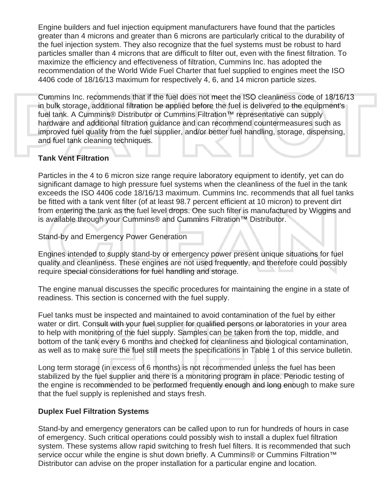Engine builders and fuel injection equipment manufacturers have found that the particles greater than 4 microns and greater than 6 microns are particularly critical to the durability of the fuel injection system. They also recognize that the fuel systems must be robust to hard particles smaller than 4 microns that are difficult to filter out, even with the finest filtration. To maximize the efficiency and effectiveness of filtration, Cummins Inc. has adopted the recommendation of the World Wide Fuel Charter that fuel supplied to engines meet the ISO 4406 code of 18/16/13 maximum for respectively 4, 6, and 14 micron particle sizes.

Cummins Inc. recommends that if the fuel does not meet the ISO cleanliness code of 18/16/13 in bulk storage, additional filtration be applied before the fuel is delivered to the equipment's fuel tank. A Cummins® Distributor or Cummins Filtration™ representative can supply hardware and additional filtration guidance and can recommend countermeasures such as improved fuel quality from the fuel supplier, and/or better fuel handling, storage, dispensing, and fuel tank cleaning techniques.

#### **Tank Vent Filtration**

Particles in the 4 to 6 micron size range require laboratory equipment to identify, yet can do significant damage to high pressure fuel systems when the cleanliness of the fuel in the tank exceeds the ISO 4406 code 18/16/13 maximum. Cummins Inc. recommends that all fuel tanks be fitted with a tank vent filter (of at least 98.7 percent efficient at 10 micron) to prevent dirt from entering the tank as the fuel level drops. One such filter is manufactured by Wiggins and is available through your Cummins® and Cummins Filtration™ Distributor.

Stand-by and Emergency Power Generation

Engines intended to supply stand-by or emergency power present unique situations for fuel quality and cleanliness. These engines are not used frequently, and therefore could possibly require special considerations for fuel handling and storage.

The engine manual discusses the specific procedures for maintaining the engine in a state of readiness. This section is concerned with the fuel supply.

Fuel tanks must be inspected and maintained to avoid contamination of the fuel by either water or dirt. Consult with your fuel supplier for qualified persons or laboratories in your area to help with monitoring of the fuel supply. Samples can be taken from the top, middle, and bottom of the tank every 6 months and checked for cleanliness and biological contamination, as well as to make sure the fuel still meets the specifications in Table 1 of this service bulletin.

Long term storage (in excess of 6 months) is not recommended unless the fuel has been stabilized by the fuel supplier and there is a monitoring program in place. Periodic testing of the engine is recommended to be performed frequently enough and long enough to make sure that the fuel supply is replenished and stays fresh.

# **Duplex Fuel Filtration Systems**

Stand-by and emergency generators can be called upon to run for hundreds of hours in case of emergency. Such critical operations could possibly wish to install a duplex fuel filtration system. These systems allow rapid switching to fresh fuel filters. It is recommended that such service occur while the engine is shut down briefly. A Cummins® or Cummins Filtration<sup>™</sup> Distributor can advise on the proper installation for a particular engine and location.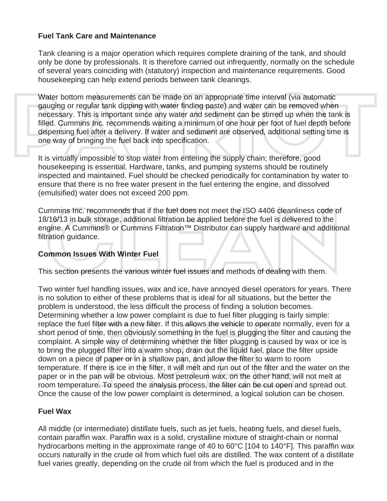#### **Fuel Tank Care and Maintenance**

Tank cleaning is a major operation which requires complete draining of the tank, and should only be done by professionals. It is therefore carried out infrequently, normally on the schedule of several years coinciding with (statutory) inspection and maintenance requirements. Good housekeeping can help extend periods between tank cleanings.

Water bottom measurements can be made on an appropriate time interval (via automatic gauging or regular tank dipping with water finding paste) and water can be removed when necessary. This is important since any water and sediment can be stirred up when the tank is filled. Cummins Inc. recommends waiting a minimum of one hour per foot of fuel depth before dispensing fuel after a delivery. If water and sediment are observed, additional setting time is one way of bringing the fuel back into specification.

It is virtually impossible to stop water from entering the supply chain; therefore, good housekeeping is essential. Hardware, tanks, and pumping systems should be routinely inspected and maintained. Fuel should be checked periodically for contamination by water to ensure that there is no free water present in the fuel entering the engine, and dissolved (emulsified) water does not exceed 200 ppm.

Cummins Inc. recommends that if the fuel does not meet the ISO 4406 cleanliness code of 18/16/13 in bulk storage, additional filtration be applied before the fuel is delivered to the engine. A Cummins® or Cummins Filtration<sup>™</sup> Distributor can supply hardware and additional filtration guidance.

#### **Common Issues With Winter Fuel**

This section presents the various winter fuel issues and methods of dealing with them.

Two winter fuel handling issues, wax and ice, have annoyed diesel operators for years. There is no solution to either of these problems that is ideal for all situations, but the better the problem is understood, the less difficult the process of finding a solution becomes. Determining whether a low power complaint is due to fuel filter plugging is fairly simple: replace the fuel filter with a new filter. If this allows the vehicle to operate normally, even for a short period of time, then obviously something in the fuel is plugging the filter and causing the complaint. A simple way of determining whether the filter plugging is caused by wax or ice is to bring the plugged filter into a warm shop, drain out the liquid fuel, place the filter upside down on a piece of paper or in a shallow pan, and allow the filter to warm to room temperature. If there is ice in the filter, it will melt and run out of the filter and the water on the paper or in the pan will be obvious. Most petroleum wax, on the other hand, will not melt at room temperature. To speed the analysis process, the filter can be cut open and spread out. Once the cause of the low power complaint is determined, a logical solution can be chosen.

#### **Fuel Wax**

All middle (or intermediate) distillate fuels, such as jet fuels, heating fuels, and diesel fuels, contain paraffin wax. Paraffin wax is a solid, crystalline mixture of straight-chain or normal hydrocarbons melting in the approximate range of 40 to 60°C [104 to 140°F]. This paraffin wax occurs naturally in the crude oil from which fuel oils are distilled. The wax content of a distillate fuel varies greatly, depending on the crude oil from which the fuel is produced and in the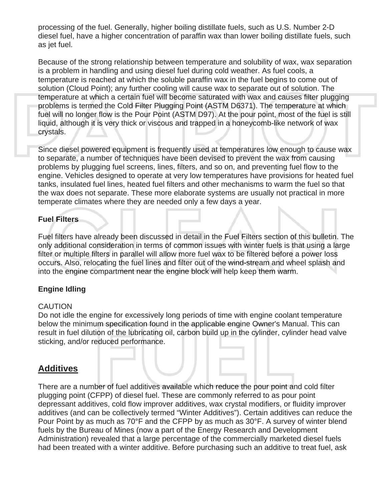processing of the fuel. Generally, higher boiling distillate fuels, such as U.S. Number 2-D diesel fuel, have a higher concentration of paraffin wax than lower boiling distillate fuels, such as jet fuel.

Because of the strong relationship between temperature and solubility of wax, wax separation is a problem in handling and using diesel fuel during cold weather. As fuel cools, a temperature is reached at which the soluble paraffin wax in the fuel begins to come out of solution (Cloud Point); any further cooling will cause wax to separate out of solution. The temperature at which a certain fuel will become saturated with wax and causes filter plugging problems is termed the Cold Filter Plugging Point (ASTM D6371). The temperature at which fuel will no longer flow is the Pour Point (ASTM D97). At the pour point, most of the fuel is still liquid, although it is very thick or viscous and trapped in a honeycomb-like network of wax crystals.

Since diesel powered equipment is frequently used at temperatures low enough to cause wax to separate, a number of techniques have been devised to prevent the wax from causing problems by plugging fuel screens, lines, filters, and so on, and preventing fuel flow to the engine. Vehicles designed to operate at very low temperatures have provisions for heated fuel tanks, insulated fuel lines, heated fuel filters and other mechanisms to warm the fuel so that the wax does not separate. These more elaborate systems are usually not practical in more temperate climates where they are needed only a few days a year.

# **Fuel Filters**

Fuel filters have already been discussed in detail in the Fuel Filters section of this bulletin. The only additional consideration in terms of common issues with winter fuels is that using a large filter or multiple filters in parallel will allow more fuel wax to be filtered before a power loss occurs. Also, relocating the fuel lines and filter out of the wind-stream and wheel splash and into the engine compartment near the engine block will help keep them warm.

# **Engine Idling**

# **CAUTION**

Do not idle the engine for excessively long periods of time with engine coolant temperature below the minimum specification found in the applicable engine Owner's Manual. This can result in fuel dilution of the lubricating oil, carbon build up in the cylinder, cylinder head valve sticking, and/or reduced performance.

# **Additives**

There are a number of fuel additives available which reduce the pour point and cold filter plugging point (CFPP) of diesel fuel. These are commonly referred to as pour point depressant additives, cold flow improver additives, wax crystal modifiers, or fluidity improver additives (and can be collectively termed "Winter Additives"). Certain additives can reduce the Pour Point by as much as 70°F and the CFPP by as much as 30°F. A survey of winter blend fuels by the Bureau of Mines (now a part of the Energy Research and Development Administration) revealed that a large percentage of the commercially marketed diesel fuels had been treated with a winter additive. Before purchasing such an additive to treat fuel, ask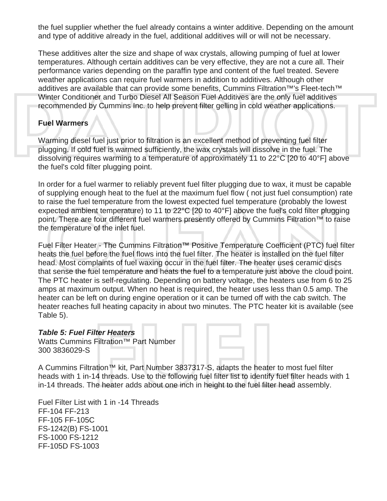the fuel supplier whether the fuel already contains a winter additive. Depending on the amount and type of additive already in the fuel, additional additives will or will not be necessary.

These additives alter the size and shape of wax crystals, allowing pumping of fuel at lower temperatures. Although certain additives can be very effective, they are not a cure all. Their performance varies depending on the paraffin type and content of the fuel treated. Severe weather applications can require fuel warmers in addition to additives. Although other additives are available that can provide some benefits, Cummins Filtration<sup>™'</sup>s Fleet-tech<sup>™</sup> Winter Conditioner and Turbo Diesel All Season Fuel Additives are the only fuel additives recommended by Cummins Inc. to help prevent filter gelling in cold weather applications.

#### **Fuel Warmers**

Warming diesel fuel just prior to filtration is an excellent method of preventing fuel filter plugging. If cold fuel is warmed sufficiently, the wax crystals will dissolve in the fuel. The dissolving requires warming to a temperature of approximately 11 to 22°C [20 to 40°F] above the fuel's cold filter plugging point.

In order for a fuel warmer to reliably prevent fuel filter plugging due to wax, it must be capable of supplying enough heat to the fuel at the maximum fuel flow ( not just fuel consumption) rate to raise the fuel temperature from the lowest expected fuel temperature (probably the lowest expected ambient temperature) to 11 to 22°C [20 to 40°F] above the fuel's cold filter plugging point. There are four different fuel warmers presently offered by Cummins Filtration<sup>™</sup> to raise the temperature of the inlet fuel.

Fuel Filter Heater - The Cummins Filtration™ Positive Temperature Coefficient (PTC) fuel filter heats the fuel before the fuel flows into the fuel filter. The heater is installed on the fuel filter head. Most complaints of fuel waxing occur in the fuel filter. The heater uses ceramic discs that sense the fuel temperature and heats the fuel to a temperature just above the cloud point. The PTC heater is self-regulating. Depending on battery voltage, the heaters use from 6 to 25 amps at maximum output. When no heat is required, the heater uses less than 0.5 amp. The heater can be left on during engine operation or it can be turned off with the cab switch. The heater reaches full heating capacity in about two minutes. The PTC heater kit is available (see Table 5).

#### *Table 5: Fuel Filter Heaters*

Watts Cummins Filtration™ Part Number 300 3836029-S



A Cummins Filtration™ kit, Part Number 3837317-S, adapts the heater to most fuel filter heads with 1 in-14 threads. Use to the following fuel filter list to identify fuel filter heads with 1 in-14 threads. The heater adds about one inch in height to the fuel filter head assembly.

Fuel Filter List with 1 in -14 Threads FF-104 FF-213 FF-105 FF-105C FS-1242(B) FS-1001 FS-1000 FS-1212 FF-105D FS-1003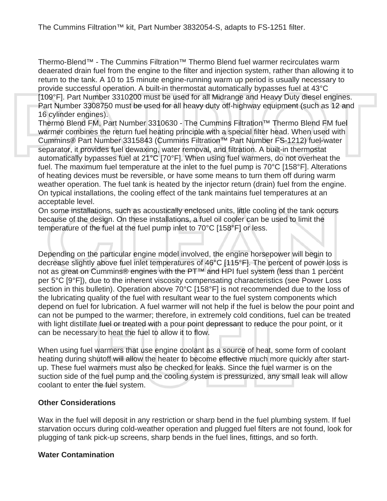Thermo-Blend™ - The Cummins Filtration™ Thermo Blend fuel warmer recirculates warm deaerated drain fuel from the engine to the filter and injection system, rather than allowing it to return to the tank. A 10 to 15 minute engine-running warm up period is usually necessary to provide successful operation. A built-in thermostat automatically bypasses fuel at 43°C [109°F]. Part Number 3310200 must be used for all Midrange and Heavy Duty diesel engines. Part Number 3308750 must be used for all heavy duty off-highway equipment (such as 12 and 16 cylinder engines).

Thermo Blend FM, Part Number 3310630 - The Cummins Filtration™ Thermo Blend FM fuel warmer combines the return fuel heating principle with a special filter head. When used with Cummins® Part Number 3315843 (Cummins Filtration™ Part Number FS-1212) fuel-water separator, it provides fuel dewaxing, water removal, and filtration. A built-in thermostat automatically bypasses fuel at 21°C [70°F]. When using fuel warmers, do not overheat the fuel. The maximum fuel temperature at the inlet to the fuel pump is 70°C [158°F]. Alterations of heating devices must be reversible, or have some means to turn them off during warm weather operation. The fuel tank is heated by the injector return (drain) fuel from the engine. On typical installations, the cooling effect of the tank maintains fuel temperatures at an acceptable level.

On some installations, such as acoustically enclosed units, little cooling of the tank occurs because of the design. On these installations, a fuel oil cooler can be used to limit the temperature of the fuel at the fuel pump inlet to 70°C [158°F] or less.

Depending on the particular engine model involved, the engine horsepower will begin to decrease slightly above fuel inlet temperatures of 46°C [115°F]. The percent of power loss is not as great on Cummins® engines with the PT<sup>™</sup> and HPI fuel system (less than 1 percent per 5°C [9°F]), due to the inherent viscosity compensating characteristics (see Power Loss section in this bulletin). Operation above 70°C [158°F] is not recommended due to the loss of the lubricating quality of the fuel with resultant wear to the fuel system components which depend on fuel for lubrication. A fuel warmer will not help if the fuel is below the pour point and can not be pumped to the warmer; therefore, in extremely cold conditions, fuel can be treated with light distillate fuel or treated with a pour point depressant to reduce the pour point, or it can be necessary to heat the fuel to allow it to flow.

When using fuel warmers that use engine coolant as a source of heat, some form of coolant heating during shutoff will allow the heater to become effective much more quickly after startup. These fuel warmers must also be checked for leaks. Since the fuel warmer is on the suction side of the fuel pump and the cooling system is pressurized, any small leak will allow coolant to enter the fuel system.

# **Other Considerations**

Wax in the fuel will deposit in any restriction or sharp bend in the fuel plumbing system. If fuel starvation occurs during cold-weather operation and plugged fuel filters are not found, look for plugging of tank pick-up screens, sharp bends in the fuel lines, fittings, and so forth.

# **Water Contamination**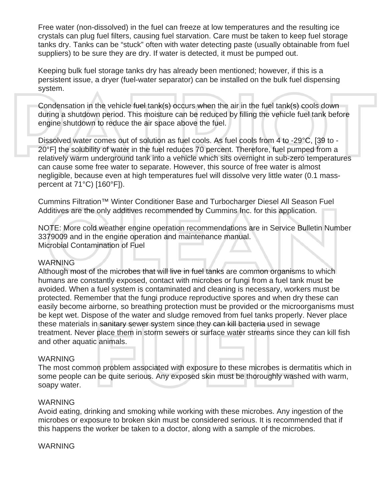Free water (non-dissolved) in the fuel can freeze at low temperatures and the resulting ice crystals can plug fuel filters, causing fuel starvation. Care must be taken to keep fuel storage tanks dry. Tanks can be "stuck" often with water detecting paste (usually obtainable from fuel suppliers) to be sure they are dry. If water is detected, it must be pumped out.

Keeping bulk fuel storage tanks dry has already been mentioned; however, if this is a persistent issue, a dryer (fuel-water separator) can be installed on the bulk fuel dispensing system.

Condensation in the vehicle fuel tank(s) occurs when the air in the fuel tank(s) cools down during a shutdown period. This moisture can be reduced by filling the vehicle fuel tank before engine shutdown to reduce the air space above the fuel.

Dissolved water comes out of solution as fuel cools. As fuel cools from 4 to -29°C, [39 to - 20°F] the solubility of water in the fuel reduces 70 percent. Therefore, fuel pumped from a relatively warm underground tank into a vehicle which sits overnight in sub-zero temperatures can cause some free water to separate. However, this source of free water is almost negligible, because even at high temperatures fuel will dissolve very little water (0.1 masspercent at 71°C) [160°F]).

Cummins Filtration™ Winter Conditioner Base and Turbocharger Diesel All Season Fuel Additives are the only additives recommended by Cummins Inc. for this application.

NOTE: More cold weather engine operation recommendations are in Service Bulletin Number 3379009 and in the engine operation and maintenance manual. Microbial Contamination of Fuel

#### WARNING

Although most of the microbes that will live in fuel tanks are common organisms to which humans are constantly exposed, contact with microbes or fungi from a fuel tank must be avoided. When a fuel system is contaminated and cleaning is necessary, workers must be protected. Remember that the fungi produce reproductive spores and when dry these can easily become airborne, so breathing protection must be provided or the microorganisms must be kept wet. Dispose of the water and sludge removed from fuel tanks properly. Never place these materials in sanitary sewer system since they can kill bacteria used in sewage treatment. Never place them in storm sewers or surface water streams since they can kill fish and other aquatic animals.

#### WARNING

The most common problem associated with exposure to these microbes is dermatitis which in some people can be quite serious. Any exposed skin must be thoroughly washed with warm, soapy water.

#### WARNING

Avoid eating, drinking and smoking while working with these microbes. Any ingestion of the microbes or exposure to broken skin must be considered serious. It is recommended that if this happens the worker be taken to a doctor, along with a sample of the microbes.

#### WARNING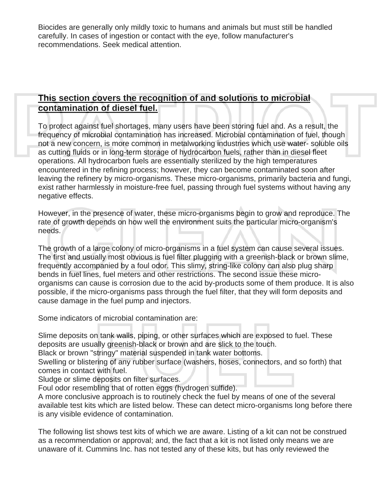Biocides are generally only mildly toxic to humans and animals but must still be handled carefully. In cases of ingestion or contact with the eye, follow manufacturer's recommendations. Seek medical attention.

# **This section covers the recognition of and solutions to microbial contamination of diesel fuel.**

To protect against fuel shortages, many users have been storing fuel and. As a result, the frequency of microbial contamination has increased. Microbial contamination of fuel, though not a new concern, is more common in metalworking industries which use water- soluble oils as cutting fluids or in long-term storage of hydrocarbon fuels, rather than in diesel fleet operations. All hydrocarbon fuels are essentially sterilized by the high temperatures encountered in the refining process; however, they can become contaminated soon after leaving the refinery by micro-organisms. These micro-organisms, primarily bacteria and fungi, exist rather harmlessly in moisture-free fuel, passing through fuel systems without having any negative effects.

However, in the presence of water, these micro-organisms begin to grow and reproduce. The rate of growth depends on how well the environment suits the particular micro-organism's needs.

The growth of a large colony of micro-organisms in a fuel system can cause several issues. The first and usually most obvious is fuel filter plugging with a greenish-black or brown slime, frequently accompanied by a foul odor. This slimy, string-like colony can also plug sharp bends in fuel lines, fuel meters and other restrictions. The second issue these microorganisms can cause is corrosion due to the acid by-products some of them produce. It is also possible, if the micro-organisms pass through the fuel filter, that they will form deposits and cause damage in the fuel pump and injectors.

Some indicators of microbial contamination are:

Slime deposits on tank walls, piping, or other surfaces which are exposed to fuel. These deposits are usually greenish-black or brown and are slick to the touch.

Black or brown "stringy" material suspended in tank water bottoms.

Swelling or blistering of any rubber surface (washers, hoses, connectors, and so forth) that comes in contact with fuel.

Sludge or slime deposits on filter surfaces.

Foul odor resembling that of rotten eggs (hydrogen sulfide).

A more conclusive approach is to routinely check the fuel by means of one of the several available test kits which are listed below. These can detect micro-organisms long before there is any visible evidence of contamination.

The following list shows test kits of which we are aware. Listing of a kit can not be construed as a recommendation or approval; and, the fact that a kit is not listed only means we are unaware of it. Cummins Inc. has not tested any of these kits, but has only reviewed the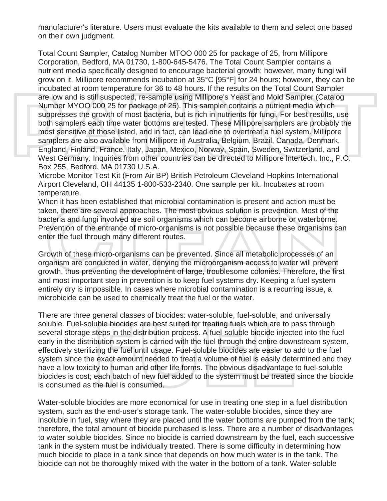manufacturer's literature. Users must evaluate the kits available to them and select one based on their own judgment.

Total Count Sampler, Catalog Number MTOO 000 25 for package of 25, from Millipore Corporation, Bedford, MA 01730, 1-800-645-5476. The Total Count Sampler contains a nutrient media specifically designed to encourage bacterial growth; however, many fungi will grow on it. Millipore recommends incubation at 35°C [95°F] for 24 hours; however, they can be incubated at room temperature for 36 to 48 hours. If the results on the Total Count Sampler are low and is still suspected, re-sample using Millipore's Yeast and Mold Sampler (Catalog Number MYOO 000 25 for package of 25). This sampler contains a nutrient media which suppresses the growth of most bacteria, but is rich in nutrients for fungi. For best results, use both samplers each time water bottoms are tested. These Millipore samplers are probably the most sensitive of those listed, and in fact, can lead one to overtreat a fuel system. Millipore samplers are also available from Millipore in Australia, Belgium, Brazil, Canada, Denmark, England, Finland, France, Italy, Japan, Mexico, Norway, Spain, Sweden, Switzerland, and West Germany. Inquiries from other countries can be directed to Millipore lntertech, Inc., P.O. Box 255, Bedford, MA 01730 U.S.A.

Microbe Monitor Test Kit (From Air BP) British Petroleum Cleveland-Hopkins International Airport Cleveland, OH 44135 1-800-533-2340. One sample per kit. Incubates at room temperature.

When it has been established that microbial contamination is present and action must be taken, there are several approaches. The most obvious solution is prevention. Most of the bacteria and fungi involved are soil organisms which can become airborne or waterborne. Prevention of the entrance of micro-organisms is not possible because these organisms can enter the fuel through many different routes.

Growth of these micro-organisms can be prevented. Since all metabolic processes of an organism are conducted in water, denying the microorganism access to water will prevent growth, thus preventing the development of large, troublesome colonies. Therefore, the first and most important step in prevention is to keep fuel systems dry. Keeping a fuel system entirely dry is impossible. In cases where microbial contamination is a recurring issue, a microbicide can be used to chemically treat the fuel or the water.

There are three general classes of biocides: water-soluble, fuel-soluble, and universally soluble. Fuel-soluble biocides are best suited for treating fuels which are to pass through several storage steps in the distribution process. A fuel-soluble biocide injected into the fuel early in the distribution system is carried with the fuel through the entire downstream system, effectively sterilizing the fuel until usage. Fuel-soluble biocides are easier to add to the fuel system since the exact amount needed to treat a volume of fuel is easily determined and they have a low toxicity to human and other life forms. The obvious disadvantage to fuel-soluble biocides is cost; each batch of new fuel added to the system must be treated since the biocide is consumed as the fuel is consumed.

Water-soluble biocides are more economical for use in treating one step in a fuel distribution system, such as the end-user's storage tank. The water-soluble biocides, since they are insoluble in fuel, stay where they are placed until the water bottoms are pumped from the tank; therefore, the total amount of biocide purchased is less. There are a number of disadvantages to water soluble biocides. Since no biocide is carried downstream by the fuel, each successive tank in the system must be individually treated. There is some difficulty in determining how much biocide to place in a tank since that depends on how much water is in the tank. The biocide can not be thoroughly mixed with the water in the bottom of a tank. Water-soluble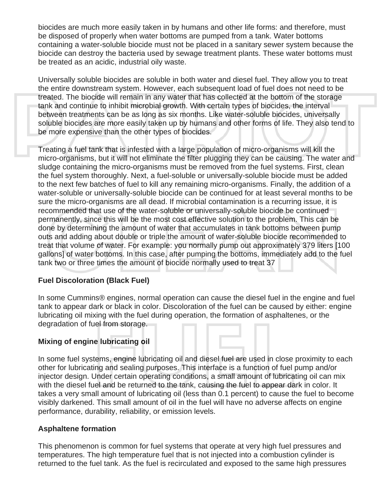biocides are much more easily taken in by humans and other life forms: and therefore, must be disposed of properly when water bottoms are pumped from a tank. Water bottoms containing a water-soluble biocide must not be placed in a sanitary sewer system because the biocide can destroy the bacteria used by sewage treatment plants. These water bottoms must be treated as an acidic, industrial oily waste.

Universally soluble biocides are soluble in both water and diesel fuel. They allow you to treat the entire downstream system. However, each subsequent load of fuel does not need to be treated. The biocide will remain in any water that has collected at the bottom of the storage tank and continue to inhibit microbial growth. With certain types of biocides, the interval between treatments can be as long as six months. Like water-soluble biocides, universally soluble biocides are more easily taken up by humans and other forms of life. They also tend to be more expensive than the other types of biocides.

Treating a fuel tank that is infested with a large population of micro-organisms will kill the micro-organisms, but it will not eliminate the filter plugging they can be causing. The water and sludge containing the micro-organisms must be removed from the fuel systems. First, clean the fuel system thoroughly. Next, a fuel-soluble or universally-soluble biocide must be added to the next few batches of fuel to kill any remaining micro-organisms. Finally, the addition of a water-soluble or universally-soluble biocide can be continued for at least several months to be sure the micro-organisms are all dead. If microbial contamination is a recurring issue, it is recommended that use of the water-soluble or universally-soluble biocide be continued permanently, since this will be the most cost effective solution to the problem. This can be done by determining the amount of water that accumulates in tank bottoms between pump outs and adding about double or triple the amount of water-soluble biocide recommended to treat that volume of water. For example: you normally pump out approximately 379 liters [100 gallons] of water bottoms. In this case, after pumping the bottoms, immediately add to the fuel tank two or three times the amount of biocide normally used to treat 37

# **Fuel Discoloration (Black Fuel)**

In some Cummins® engines, normal operation can cause the diesel fuel in the engine and fuel tank to appear dark or black in color. Discoloration of the fuel can be caused by either: engine lubricating oil mixing with the fuel during operation, the formation of asphaltenes, or the degradation of fuel from storage.

# **Mixing of engine lubricating oil**

In some fuel systems, engine lubricating oil and diesel fuel are used in close proximity to each other for lubricating and sealing purposes. This interface is a function of fuel pump and/or injector design. Under certain operating conditions, a small amount of lubricating oil can mix with the diesel fuel and be returned to the tank, causing the fuel to appear dark in color. It takes a very small amount of lubricating oil (less than 0.1 percent) to cause the fuel to become visibly darkened. This small amount of oil in the fuel will have no adverse affects on engine performance, durability, reliability, or emission levels.

# **Asphaltene formation**

This phenomenon is common for fuel systems that operate at very high fuel pressures and temperatures. The high temperature fuel that is not injected into a combustion cylinder is returned to the fuel tank. As the fuel is recirculated and exposed to the same high pressures